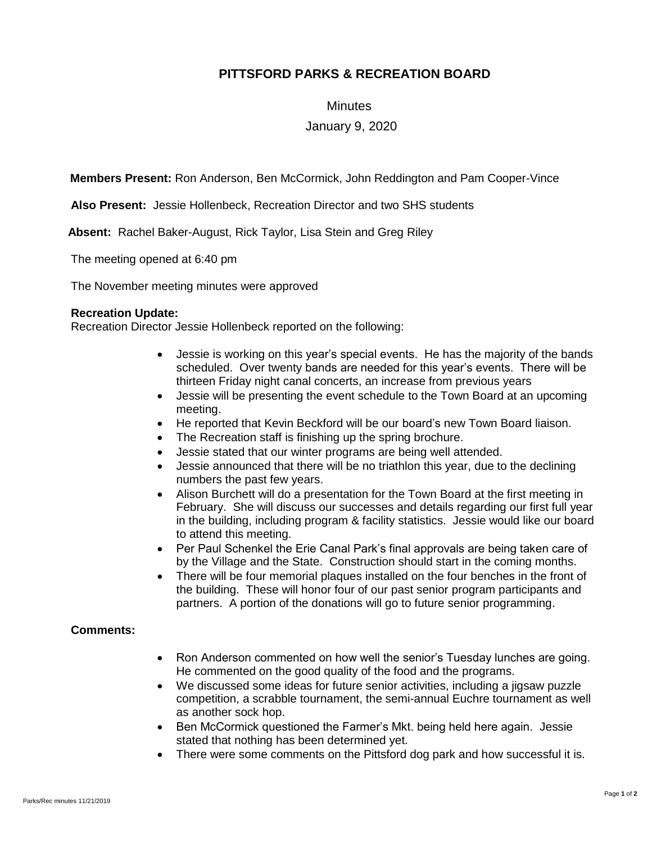## **PITTSFORD PARKS & RECREATION BOARD**

**Minutes** 

January 9, 2020

**Members Present:** Ron Anderson, Ben McCormick, John Reddington and Pam Cooper-Vince

**Also Present:** Jessie Hollenbeck, Recreation Director and two SHS students

**Absent:** Rachel Baker-August, Rick Taylor, Lisa Stein and Greg Riley

The meeting opened at 6:40 pm

The November meeting minutes were approved

## **Recreation Update:**

Recreation Director Jessie Hollenbeck reported on the following:

- Jessie is working on this year's special events. He has the majority of the bands scheduled. Over twenty bands are needed for this year's events. There will be thirteen Friday night canal concerts, an increase from previous years
- Jessie will be presenting the event schedule to the Town Board at an upcoming meeting.
- He reported that Kevin Beckford will be our board's new Town Board liaison.
- The Recreation staff is finishing up the spring brochure.
- Jessie stated that our winter programs are being well attended.
- Jessie announced that there will be no triathlon this year, due to the declining numbers the past few years.
- Alison Burchett will do a presentation for the Town Board at the first meeting in February. She will discuss our successes and details regarding our first full year in the building, including program & facility statistics. Jessie would like our board to attend this meeting.
- Per Paul Schenkel the Erie Canal Park's final approvals are being taken care of by the Village and the State. Construction should start in the coming months.
- There will be four memorial plaques installed on the four benches in the front of the building. These will honor four of our past senior program participants and partners. A portion of the donations will go to future senior programming.

## **Comments:**

- Ron Anderson commented on how well the senior's Tuesday lunches are going. He commented on the good quality of the food and the programs.
- We discussed some ideas for future senior activities, including a jigsaw puzzle competition, a scrabble tournament, the semi-annual Euchre tournament as well as another sock hop.
- Ben McCormick questioned the Farmer's Mkt. being held here again. Jessie stated that nothing has been determined yet.
- There were some comments on the Pittsford dog park and how successful it is.